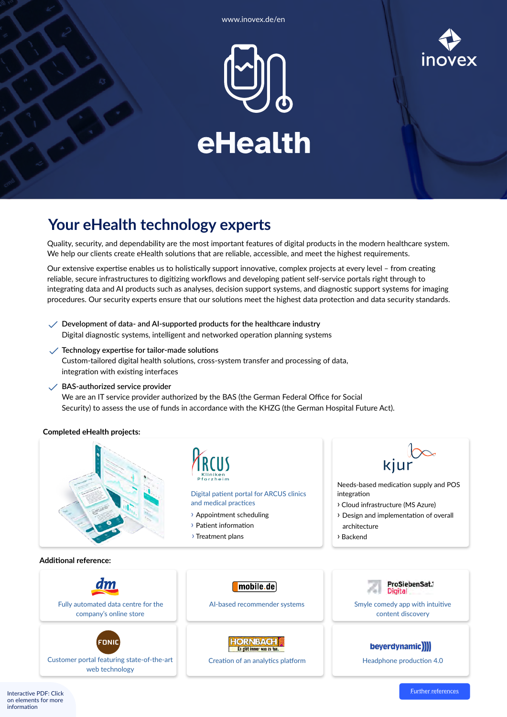



## **Your eHealth technology experts**

Quality, security, and dependability are the most important features of digital products in the modern healthcare system. We help our clients create eHealth solutions that are reliable, accessible, and meet the highest requirements.

Our extensive expertise enables us to holistically support innovative, complex projects at every level – from creating reliable, secure infrastructures to digitizing workflows and developing patient self-service portals right through to integrating data and AI products such as analyses, decision support systems, and diagnostic support systems for imaging procedures. Our security experts ensure that our solutions meet the highest data protection and data security standards.

**Development of data- and AI-supported products for the healthcare industry**  $\checkmark$ 

Digital diagnostic systems, intelligent and networked operation planning systems

**Technology expertise for tailor-made solutions**

Custom-tailored digital health solutions, cross-system transfer and processing of data, integration with existing interfaces

**BAS-authorized service provider**

web technology

(FONIC

We are an IT service provider authorized by the BAS (the German Federal Office for Social Security) to assess the use of funds in accordance with the KHZG (the German Hospital Future Act).

## **Completed eHealth projects:**



**HORNBACH** Es gibt immer was zu tu

[Customer portal featuring state-of-the-art](https://www.inovex.de/en/references/case-studies/online-customer-portal-for-fonic/) [Creation of an analytics platform](https://www.inovex.de/en/references/case-studies/creation-of-an-analytics-platform-for-hornbach/)

beyerdynamic)

[Headphone production 4.0](https://www.inovex.de/en/references/case-studies/beyerdynamic-headphone-production-40/)